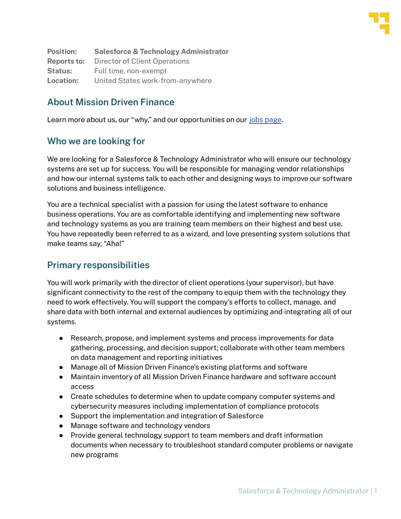

**Position: Salesforce & Technology Administrator Reports to:** Director of Client Operations **Status:** Full time, non-exempt **Location:** United States work-from-anywhere

## **About Mission Driven Finance**

Learn more about us, our "why," and our opportunities on our jobs [page](https://www.missiondrivenfinance.com/about/jobs/).

#### **Who we are looking for**

We are looking for a Salesforce & Technology Administrator who will ensure our technology systems are set up for success. You will be responsible for managing vendor relationships and how our internal systems talk to each other and designing ways to improve our software solutions and business intelligence.

You are a technical specialist with a passion for using the latest software to enhance business operations. You are as comfortable identifying and implementing new software and technology systems as you are training team members on their highest and best use. You have repeatedly been referred to as a wizard, and love presenting system solutions that make teams say, "Aha!"

### **Primary responsibilities**

You will work primarily with the director of client operations (your supervisor), but have significant connectivity to the rest of the company to equip them with the technology they need to work effectively. You will support the company's efforts to collect, manage, and share data with both internal and external audiences by optimizing and integrating all of our systems.

- Research, propose, and implement systems and process improvements for data gathering, processing, and decision support; collaborate with other team members on data management and reporting initiatives
- Manage all of Mission Driven Finance's existing platforms and software
- Maintain inventory of all Mission Driven Finance hardware and software account access
- Create schedules to determine when to update company computer systems and cybersecurity measures including implementation of compliance protocols
- Support the implementation and integration of Salesforce
- Manage software and technology vendors
- Provide general technology support to team members and draft information documents when necessary to troubleshoot standard computer problems or navigate new programs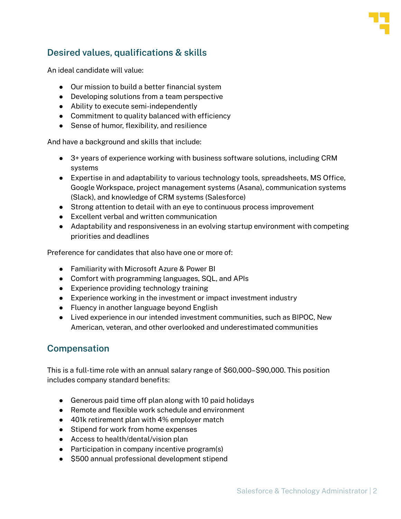

## **Desired values, qualifications & skills**

An ideal candidate will value:

- Our mission to build a better financial system
- Developing solutions from a team perspective
- Ability to execute semi-independently
- Commitment to quality balanced with efficiency
- Sense of humor, flexibility, and resilience

And have a background and skills that include:

- 3+ years of experience working with business software solutions, including CRM systems
- Expertise in and adaptability to various technology tools, spreadsheets, MS Office, Google Workspace, project management systems (Asana), communication systems (Slack), and knowledge of CRM systems (Salesforce)
- Strong attention to detail with an eye to continuous process improvement
- Excellent verbal and written communication
- Adaptability and responsiveness in an evolving startup environment with competing priorities and deadlines

Preference for candidates that also have one or more of:

- Familiarity with Microsoft Azure & Power BI
- Comfort with programming languages, SQL, and APIs
- Experience providing technology training
- Experience working in the investment or impact investment industry
- Fluency in another language beyond English
- Lived experience in our intended investment communities, such as BIPOC, New American, veteran, and other overlooked and underestimated communities

### **Compensation**

This is a full-time role with an annual salary range of \$60,000–\$90,000. This position includes company standard benefits:

- Generous paid time off plan along with 10 paid holidays
- Remote and flexible work schedule and environment
- 401k retirement plan with 4% employer match
- Stipend for work from home expenses
- Access to health/dental/vision plan
- Participation in company incentive program(s)
- \$500 annual professional development stipend